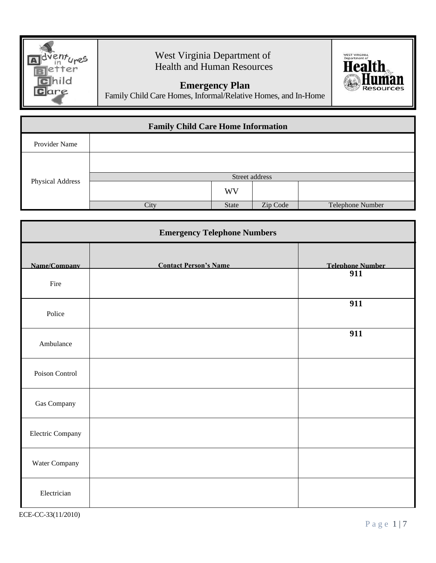

## West Virginia Department of Health and Human Resources

## **Emergency Plan**



Family Child Care Homes, Informal/Relative Homes, and In-Home

| <b>Family Child Care Home Information</b> |      |                |          |                  |  |  |
|-------------------------------------------|------|----------------|----------|------------------|--|--|
| Provider Name                             |      |                |          |                  |  |  |
|                                           |      |                |          |                  |  |  |
| <b>Physical Address</b>                   |      | Street address |          |                  |  |  |
|                                           |      | <b>WV</b>      |          |                  |  |  |
|                                           | City | State          | Zip Code | Telephone Number |  |  |

| <b>Emergency Telephone Numbers</b> |                              |                         |  |  |
|------------------------------------|------------------------------|-------------------------|--|--|
| Name/Company                       | <b>Contact Person's Name</b> | <b>Telephone Number</b> |  |  |
| Fire                               |                              | 911                     |  |  |
| Police                             |                              | 911                     |  |  |
| Ambulance                          |                              | 911                     |  |  |
| Poison Control                     |                              |                         |  |  |
| Gas Company                        |                              |                         |  |  |
| Electric Company                   |                              |                         |  |  |
| Water Company                      |                              |                         |  |  |
| Electrician                        |                              |                         |  |  |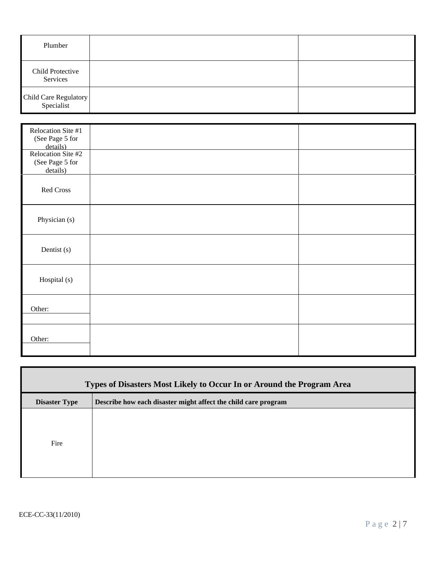| Plumber                             |  |
|-------------------------------------|--|
| Child Protective<br>Services        |  |
| Child Care Regulatory<br>Specialist |  |

| Relocation Site #1<br>(See Page 5 for<br>details)<br>Relocation Site #2 |  |
|-------------------------------------------------------------------------|--|
| (See Page 5 for<br>details)                                             |  |
| Red Cross                                                               |  |
| Physician (s)                                                           |  |
| Dentist (s)                                                             |  |
| Hospital (s)                                                            |  |
| Other:                                                                  |  |
| Other:                                                                  |  |

| Types of Disasters Most Likely to Occur In or Around the Program Area |                                                                |  |  |
|-----------------------------------------------------------------------|----------------------------------------------------------------|--|--|
| <b>Disaster Type</b>                                                  | Describe how each disaster might affect the child care program |  |  |
| Fire                                                                  |                                                                |  |  |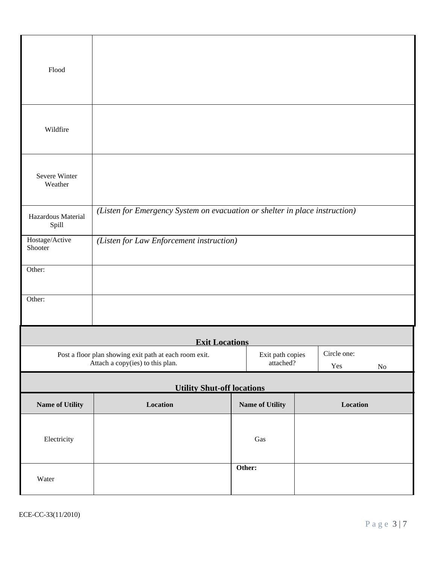| Flood                       |                                                                                            |                               |                    |          |
|-----------------------------|--------------------------------------------------------------------------------------------|-------------------------------|--------------------|----------|
| Wildfire                    |                                                                                            |                               |                    |          |
| Severe Winter<br>Weather    |                                                                                            |                               |                    |          |
| Hazardous Material<br>Spill | (Listen for Emergency System on evacuation or shelter in place instruction)                |                               |                    |          |
| Hostage/Active<br>Shooter   | (Listen for Law Enforcement instruction)                                                   |                               |                    |          |
| Other:                      |                                                                                            |                               |                    |          |
| Other:                      |                                                                                            |                               |                    |          |
|                             | <b>Exit Locations</b>                                                                      |                               |                    |          |
|                             | Post a floor plan showing exit path at each room exit.<br>Attach a copy(ies) to this plan. | Exit path copies<br>attached? | Circle one:<br>Yes | $\rm No$ |
|                             | <b>Utility Shut-off locations</b>                                                          |                               |                    |          |
| Name of Utility             | Location                                                                                   | <b>Name of Utility</b>        | Location           |          |
| Electricity                 |                                                                                            | Gas                           |                    |          |
| Water                       |                                                                                            | Other:                        |                    |          |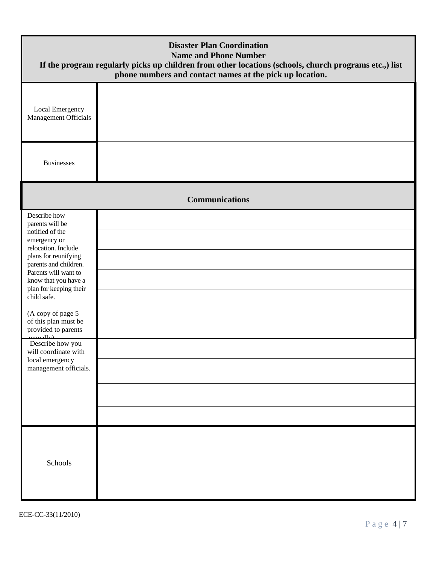|                                                                                                                                                                                                                                                                                                                                                                                                 | <b>Disaster Plan Coordination</b><br><b>Name and Phone Number</b><br>If the program regularly picks up children from other locations (schools, church programs etc.,) list<br>phone numbers and contact names at the pick up location. |
|-------------------------------------------------------------------------------------------------------------------------------------------------------------------------------------------------------------------------------------------------------------------------------------------------------------------------------------------------------------------------------------------------|----------------------------------------------------------------------------------------------------------------------------------------------------------------------------------------------------------------------------------------|
| Local Emergency<br>Management Officials                                                                                                                                                                                                                                                                                                                                                         |                                                                                                                                                                                                                                        |
| <b>Businesses</b>                                                                                                                                                                                                                                                                                                                                                                               |                                                                                                                                                                                                                                        |
|                                                                                                                                                                                                                                                                                                                                                                                                 | <b>Communications</b>                                                                                                                                                                                                                  |
| Describe how<br>parents will be<br>notified of the<br>emergency or<br>relocation. Include<br>plans for reunifying<br>parents and children.<br>Parents will want to<br>know that you have a<br>plan for keeping their<br>child safe.<br>(A copy of page 5<br>of this plan must be<br>provided to parents<br>Describe how you<br>will coordinate with<br>local emergency<br>management officials. |                                                                                                                                                                                                                                        |
| Schools                                                                                                                                                                                                                                                                                                                                                                                         |                                                                                                                                                                                                                                        |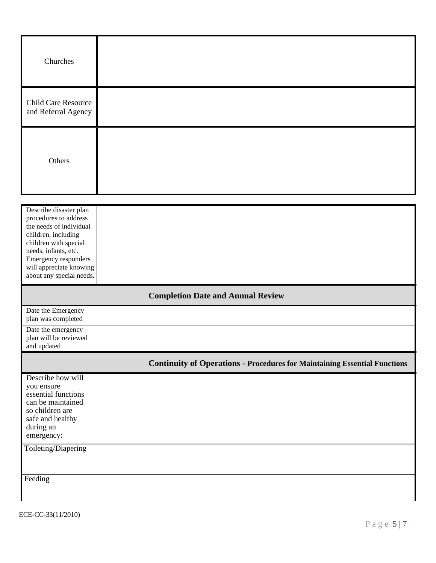| Churches                                                                                                                                                                                              |                                                                                  |
|-------------------------------------------------------------------------------------------------------------------------------------------------------------------------------------------------------|----------------------------------------------------------------------------------|
| <b>Child Care Resource</b><br>and Referral Agency                                                                                                                                                     |                                                                                  |
| Others                                                                                                                                                                                                |                                                                                  |
| Describe disaster plan<br>procedures to address<br>the needs of individual<br>children, including<br>children with special<br>needs, infants, etc.<br>Emergency responders<br>will appreciate knowing |                                                                                  |
| about any special needs.                                                                                                                                                                              |                                                                                  |
|                                                                                                                                                                                                       | <b>Completion Date and Annual Review</b>                                         |
| Date the Emergency<br>plan was completed                                                                                                                                                              |                                                                                  |
| Date the emergency<br>plan will be reviewed<br>and updated                                                                                                                                            |                                                                                  |
|                                                                                                                                                                                                       | <b>Continuity of Operations - Procedures for Maintaining Essential Functions</b> |
| Describe how will<br>you ensure<br>essential functions<br>can be maintained<br>so children are<br>safe and healthy<br>during an<br>emergency:                                                         |                                                                                  |
| Toileting/Diapering                                                                                                                                                                                   |                                                                                  |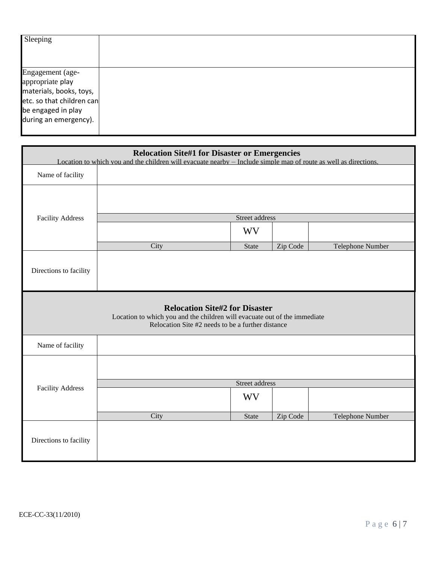| Sleeping                  |  |
|---------------------------|--|
|                           |  |
| Engagement (age-          |  |
| appropriate play          |  |
| materials, books, toys,   |  |
| etc. so that children can |  |
| be engaged in play        |  |
| during an emergency).     |  |
|                           |  |

|                         | <b>Relocation Site#1 for Disaster or Emergencies</b><br>Location to which you and the children will evacuate nearby – Include simple map of route as well as directions. |                                       |          |                  |  |  |  |
|-------------------------|--------------------------------------------------------------------------------------------------------------------------------------------------------------------------|---------------------------------------|----------|------------------|--|--|--|
| Name of facility        |                                                                                                                                                                          |                                       |          |                  |  |  |  |
|                         |                                                                                                                                                                          |                                       |          |                  |  |  |  |
| <b>Facility Address</b> |                                                                                                                                                                          | Street address                        |          |                  |  |  |  |
|                         |                                                                                                                                                                          | WV                                    |          |                  |  |  |  |
|                         | City                                                                                                                                                                     | <b>State</b>                          | Zip Code | Telephone Number |  |  |  |
| Directions to facility  |                                                                                                                                                                          |                                       |          |                  |  |  |  |
|                         | Location to which you and the children will evacuate out of the immediate<br>Relocation Site #2 needs to be a further distance                                           | <b>Relocation Site#2 for Disaster</b> |          |                  |  |  |  |
| Name of facility        |                                                                                                                                                                          |                                       |          |                  |  |  |  |
|                         |                                                                                                                                                                          |                                       |          |                  |  |  |  |
| <b>Facility Address</b> |                                                                                                                                                                          | Street address                        |          |                  |  |  |  |
|                         |                                                                                                                                                                          | <b>WV</b>                             |          |                  |  |  |  |
|                         | City                                                                                                                                                                     | <b>State</b>                          | Zip Code | Telephone Number |  |  |  |
| Directions to facility  |                                                                                                                                                                          |                                       |          |                  |  |  |  |